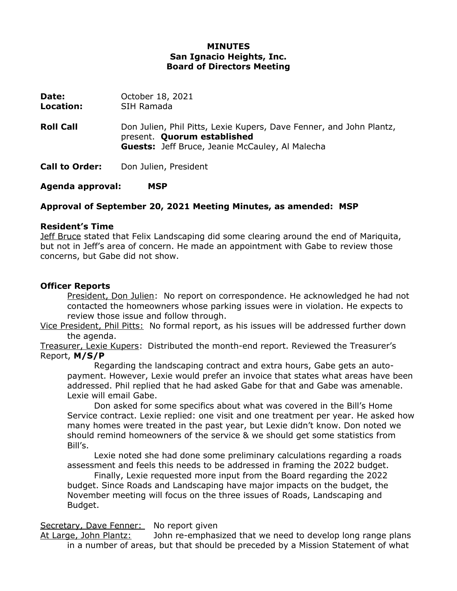## **MINUTES San Ignacio Heights, Inc. Board of Directors Meeting**

| Date:<br>Location:    | October 18, 2021<br>SIH Ramada                                                                                                                               |
|-----------------------|--------------------------------------------------------------------------------------------------------------------------------------------------------------|
| <b>Roll Call</b>      | Don Julien, Phil Pitts, Lexie Kupers, Dave Fenner, and John Plantz,<br>present. Quorum established<br><b>Guests:</b> Jeff Bruce, Jeanie McCauley, Al Malecha |
| <b>Call to Order:</b> | Don Julien, President                                                                                                                                        |

**Agenda approval: MSP**

## **Approval of September 20, 2021 Meeting Minutes, as amended: MSP**

#### **Resident's Time**

Jeff Bruce stated that Felix Landscaping did some clearing around the end of Mariquita, but not in Jeff's area of concern. He made an appointment with Gabe to review those concerns, but Gabe did not show.

#### **Officer Reports**

President, Don Julien: No report on correspondence. He acknowledged he had not contacted the homeowners whose parking issues were in violation. He expects to review those issue and follow through.

Vice President, Phil Pitts: No formal report, as his issues will be addressed further down the agenda.

Treasurer, Lexie Kupers: Distributed the month-end report. Reviewed the Treasurer's Report, **M/S/P**

Regarding the landscaping contract and extra hours, Gabe gets an autopayment. However, Lexie would prefer an invoice that states what areas have been addressed. Phil replied that he had asked Gabe for that and Gabe was amenable. Lexie will email Gabe.

Don asked for some specifics about what was covered in the Bill's Home Service contract. Lexie replied: one visit and one treatment per year. He asked how many homes were treated in the past year, but Lexie didn't know. Don noted we should remind homeowners of the service & we should get some statistics from Bill's.

Lexie noted she had done some preliminary calculations regarding a roads assessment and feels this needs to be addressed in framing the 2022 budget.

Finally, Lexie requested more input from the Board regarding the 2022 budget. Since Roads and Landscaping have major impacts on the budget, the November meeting will focus on the three issues of Roads, Landscaping and Budget.

#### Secretary, Dave Fenner: No report given

At Large, John Plantz: John re-emphasized that we need to develop long range plans in a number of areas, but that should be preceded by a Mission Statement of what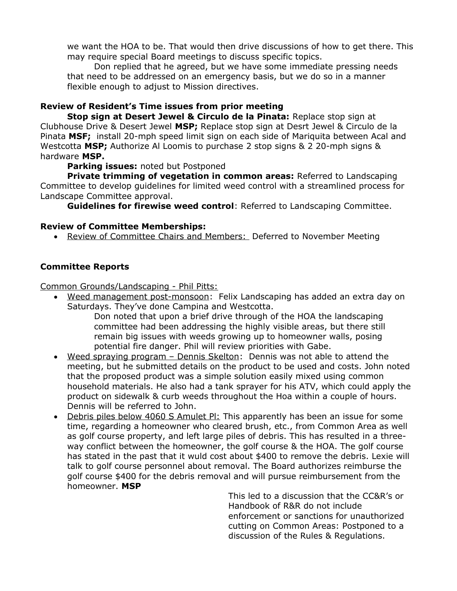we want the HOA to be. That would then drive discussions of how to get there. This may require special Board meetings to discuss specific topics.

Don replied that he agreed, but we have some immediate pressing needs that need to be addressed on an emergency basis, but we do so in a manner flexible enough to adjust to Mission directives.

# **Review of Resident's Time issues from prior meeting**

**Stop sign at Desert Jewel & Circulo de la Pinata:** Replace stop sign at Clubhouse Drive & Desert Jewel **MSP;** Replace stop sign at Desrt Jewel & Circulo de la Pinata **MSF;** install 20-mph speed limit sign on each side of Mariquita between Acal and Westcotta **MSP;** Authorize Al Loomis to purchase 2 stop signs & 2 20-mph signs & hardware **MSP.**

**Parking issues:** noted but Postponed

**Private trimming of vegetation in common areas:** Referred to Landscaping Committee to develop guidelines for limited weed control with a streamlined process for Landscape Committee approval.

**Guidelines for firewise weed control**: Referred to Landscaping Committee.

## **Review of Committee Memberships:**

Review of Committee Chairs and Members: Deferred to November Meeting

# **Committee Reports**

Common Grounds/Landscaping - Phil Pitts:

 Weed management post-monsoon: Felix Landscaping has added an extra day on Saturdays. They've done Campina and Westcotta.

Don noted that upon a brief drive through of the HOA the landscaping committee had been addressing the highly visible areas, but there still remain big issues with weeds growing up to homeowner walls, posing potential fire danger. Phil will review priorities with Gabe.

- Weed spraying program Dennis Skelton: Dennis was not able to attend the meeting, but he submitted details on the product to be used and costs. John noted that the proposed product was a simple solution easily mixed using common household materials. He also had a tank sprayer for his ATV, which could apply the product on sidewalk & curb weeds throughout the Hoa within a couple of hours. Dennis will be referred to John.
- Debris piles below 4060 S Amulet Pl: This apparently has been an issue for some time, regarding a homeowner who cleared brush, etc., from Common Area as well as golf course property, and left large piles of debris. This has resulted in a threeway conflict between the homeowner, the golf course & the HOA. The golf course has stated in the past that it wuld cost about \$400 to remove the debris. Lexie will talk to golf course personnel about removal. The Board authorizes reimburse the golf course \$400 for the debris removal and will pursue reimbursement from the homeowner. **MSP**

This led to a discussion that the CC&R's or Handbook of R&R do not include enforcement or sanctions for unauthorized cutting on Common Areas: Postponed to a discussion of the Rules & Regulations.